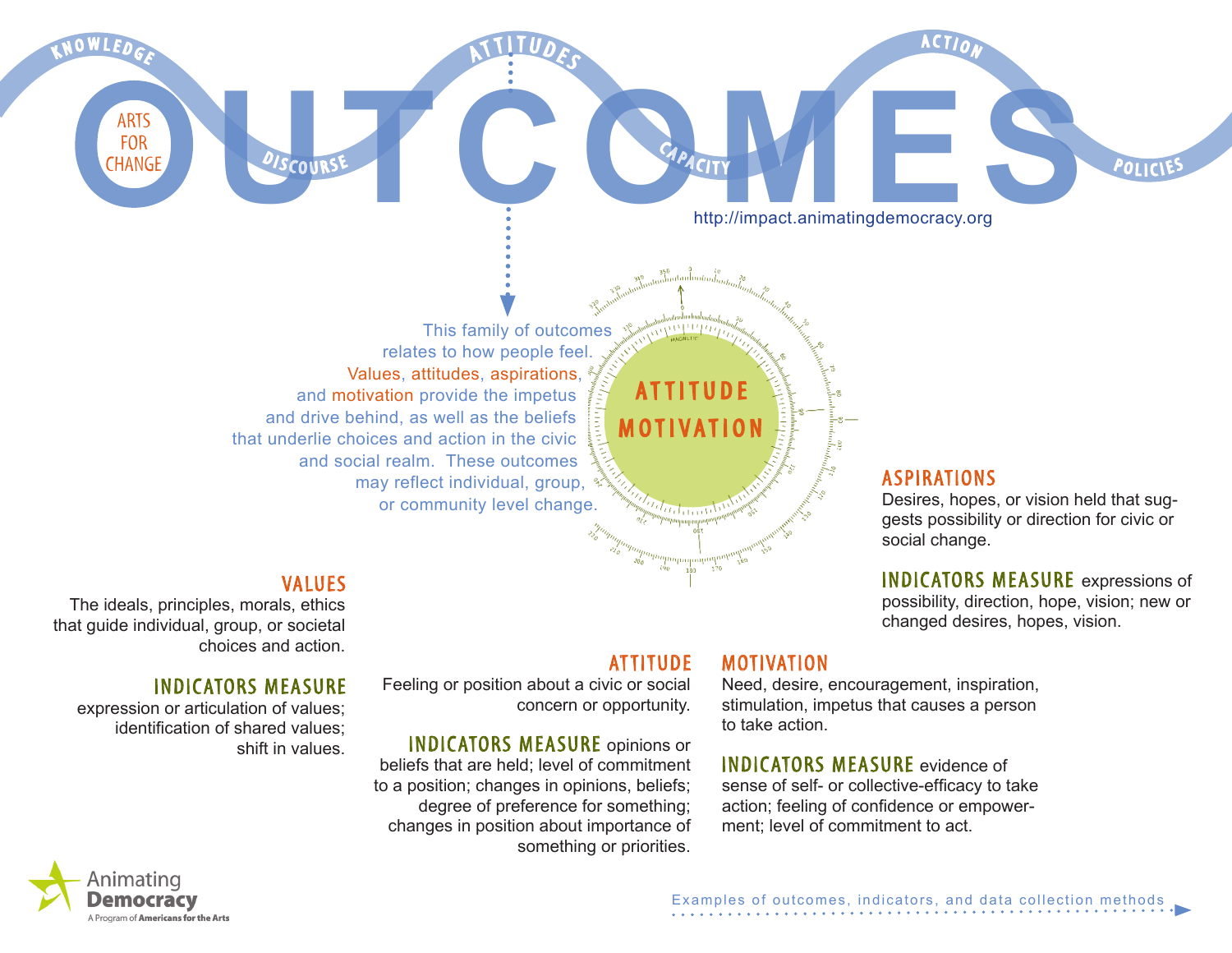This family of outcomes relates to how people feel. Values, attitudes, aspirations, and motivation provide the impetus and drive behind, as well as the beliefs that underlie choices and action in the civic and social realm. These outcomes may reflect individual, group, or community level change.

### **VALUES**

 $C$  O II R S<sup>T</sup>

The ideals, principles, morals, ethics that guide individual, group, or societal choices and action.

#### Indicators measure

expression or articulation of values; identification of shared values; shift in values. **ATTITUDE** 

attitude

CAPACITY

motivation

Feeling or position about a civic or social concern or opportunity.

**CHANGE**<br> **CHANGE**<br> **CAPACITY**<br> **CAPACITY**<br> **CAPACITY**<br> **http://impact.animatingdemocracy.org** 

A

TTITUDES

Indicators measure opinions or beliefs that are held; level of commitment to a position; changes in opinions, beliefs; degree of preference for something; changes in position about importance of something or priorities.

# **MOTIVATION**

Need, desire, encouragement, inspiration, stimulation, impetus that causes a person to take action.

Indicators measure evidence of sense of self- or collective-efficacy to take action; feeling of confidence or empowerment; level of commitment to act.

# **ASPIRATIONS**

ACTI

http://impact.animatingdemocracy.org

Desires, hopes, or vision held that suggests possibility or direction for civic or social change.

POLICIES

Indicators measure expressions of possibility, direction, hope, vision; new or changed desires, hopes, vision.



K N O W L E D G E

**ARTS FOR CHANGE**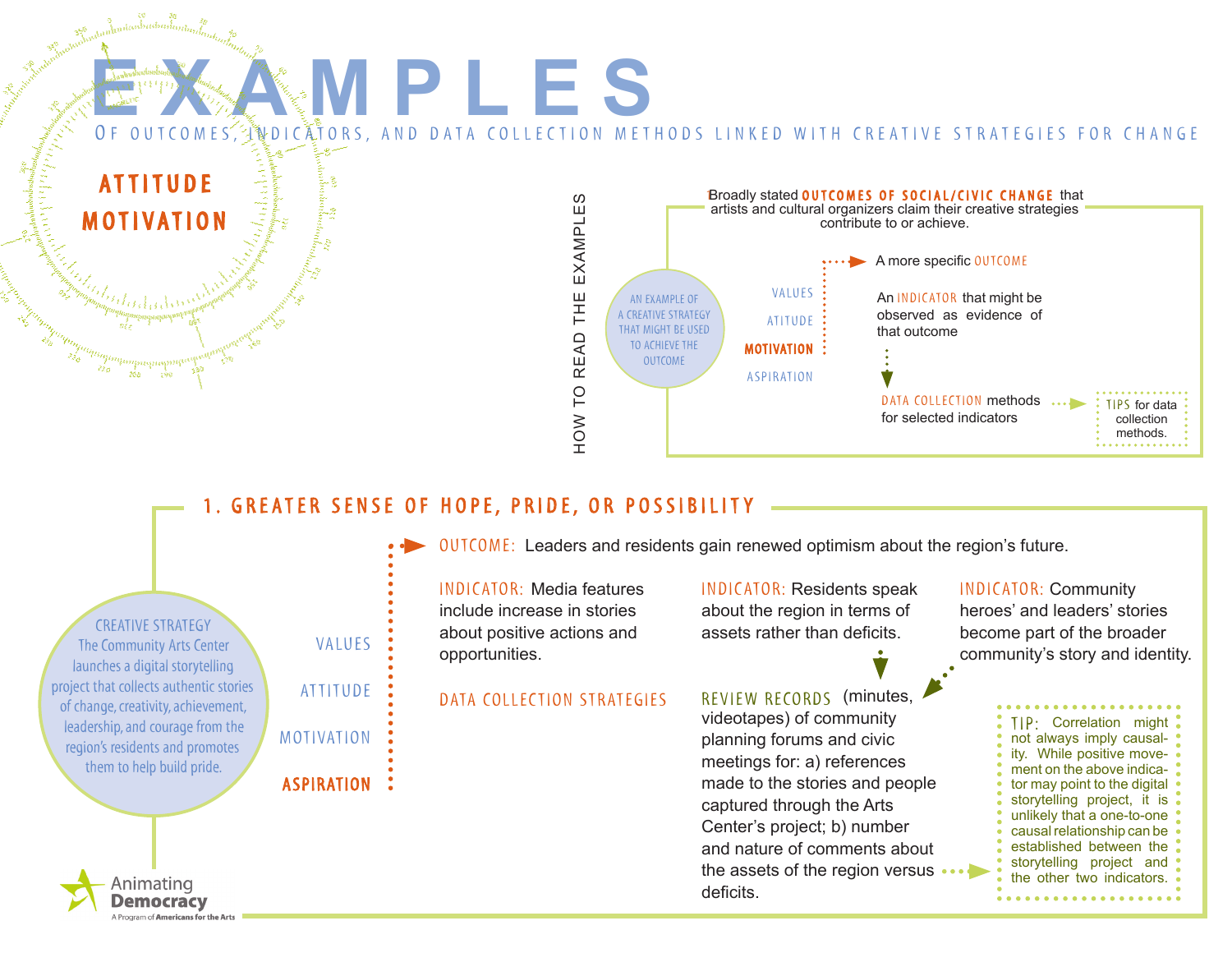

# 1. GREATER SENSE OF HOPE, PRIDE, OR POSSIBILITY

| <b>CREATIVE STRATEGY</b>                |
|-----------------------------------------|
| The Community Arts Center               |
| launches a digital storytelling         |
| project that collects authentic stories |
| of change, creativity, achievement,     |
| leadership, and courage from the        |
| region's residents and promotes         |
| them to help build pride.               |
|                                         |

Animating Democracv Program of Americans for the Arts attitude

motivation

**ASPIRATION** 

 $OUTOME:$  Leaders and residents gain renewed optimism about the region's future.

INDICATOR: Media features include increase in stories values : about positive actions and assets rather than deficits. opportunities.

INDICATOR: Residents speak about the region in terms of

DATA COLLECTION STRATEGIES REVIEW RECORDS (minutes, videotapes) of community planning forums and civic meetings for: a) references made to the stories and people captured through the Arts Center's project; b) number and nature of comments about the assets of the region versus •• deficits.

INDICATOR: Community heroes' and leaders' stories become part of the broader community's story and identity.

> TIP · Correlation might not always imply causality. While positive movement on the above indicator may point to the digital storytelling project, it is unlikely that a one-to-one causal relationship can be established between the storytelling project and the other two indicators.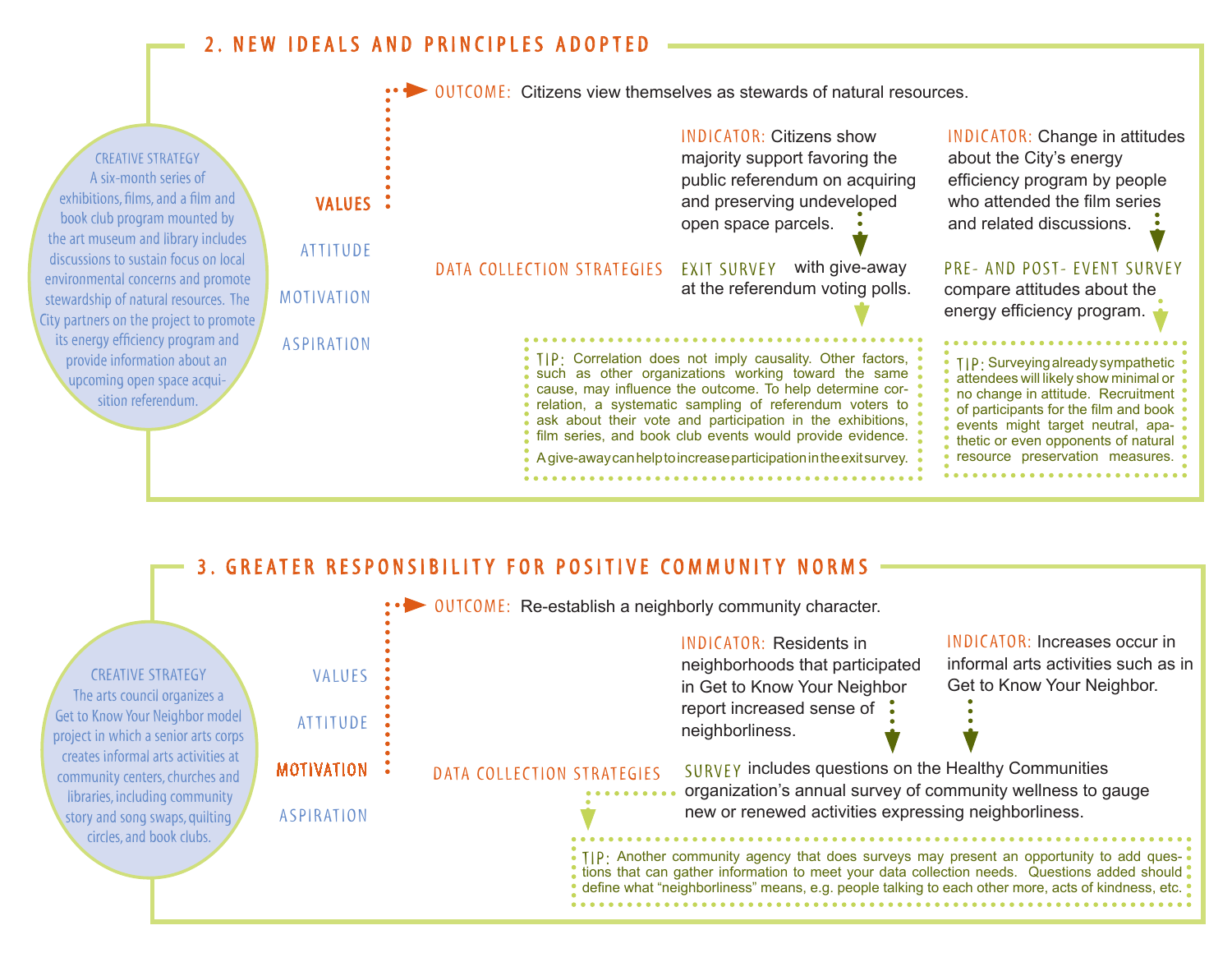# 2. NEW IDEALS AND PRINCIPLES ADOPTED

creative strategy A six-month series of exhibitions, films, and a film and book club program mounted by the art museum and library includes discussions to sustain focus on local environmental concerns and promote stewardship of natural resources. The City partners on the project to promote its energy efficiency program and provide information about an upcoming open space acquisition referendum.



# 3. GREATER RESPONSIBILITY FOR POSITIVE COMMUNITY NORMS

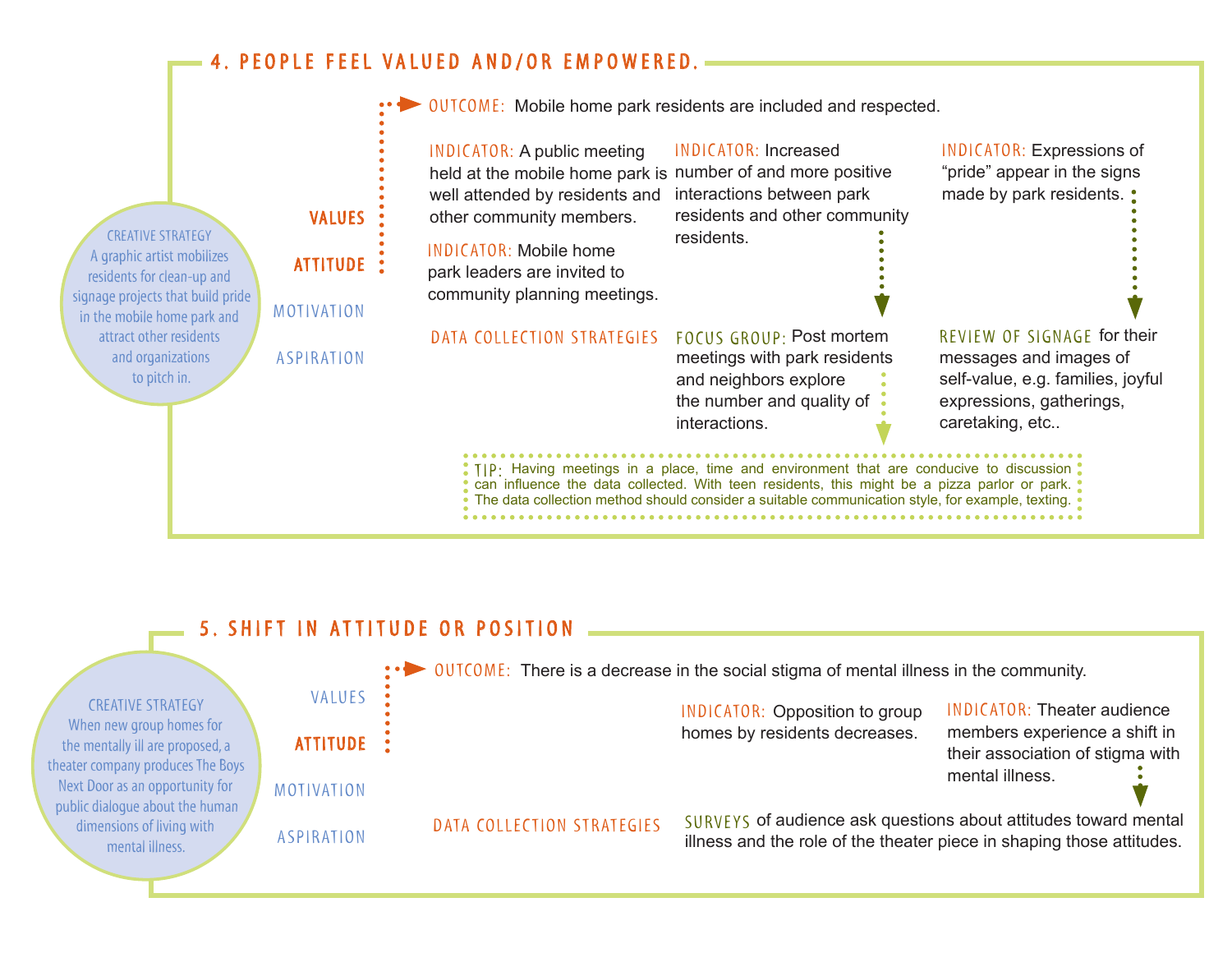# 4. PEOPLE FEEL VALUED AND/OR EMPOWERED.

|                                                                                                                              |  |                   | •• DUTCOME: Mobile home park residents are included and respected.                                                                                                                                                                                                                                            |                                                                                                                                 |                                                                                                                                           |  |  |  |
|------------------------------------------------------------------------------------------------------------------------------|--|-------------------|---------------------------------------------------------------------------------------------------------------------------------------------------------------------------------------------------------------------------------------------------------------------------------------------------------------|---------------------------------------------------------------------------------------------------------------------------------|-------------------------------------------------------------------------------------------------------------------------------------------|--|--|--|
| <b>CREATIVE STRATEGY</b>                                                                                                     |  | <b>VALUES</b>     | <b>INDICATOR: A public meeting</b><br>held at the mobile home park is number of and more positive<br>well attended by residents and<br>other community members.                                                                                                                                               | INDICATOR: Increased<br>interactions between park<br>residents and other community<br>residents.                                | <b>INDICATOR: Expressions of</b><br>"pride" appear in the signs<br>made by park residents. •                                              |  |  |  |
| A graphic artist mobilizes<br>residents for clean-up and<br>signage projects that build pride<br>in the mobile home park and |  | <b>ATTITUDE</b>   | <b>INDICATOR: Mobile home</b><br>park leaders are invited to                                                                                                                                                                                                                                                  |                                                                                                                                 |                                                                                                                                           |  |  |  |
|                                                                                                                              |  | MOTIVATION        | community planning meetings.                                                                                                                                                                                                                                                                                  |                                                                                                                                 |                                                                                                                                           |  |  |  |
| attract other residents<br>and organizations<br>to pitch in.                                                                 |  | <b>ASPIRATION</b> | DATA COLLECTION STRATEGIES                                                                                                                                                                                                                                                                                    | FOCUS GROUP: Post mortem<br>meetings with park residents<br>and neighbors explore<br>the number and quality of<br>interactions. | REVIEW OF SIGNAGE for their<br>messages and images of<br>self-value, e.g. families, joyful<br>expressions, gatherings,<br>caretaking, etc |  |  |  |
|                                                                                                                              |  |                   | . TIP: Having meetings in a place, time and environment that are conducive to discussion.<br>• can influence the data collected. With teen residents, this might be a pizza parlor or park.<br>$\frac{1}{2}$ The data collection method should consider a suitable communication style, for example, texting. |                                                                                                                                 |                                                                                                                                           |  |  |  |

# 5. SHIFT IN ATTITUDE OR POSITION